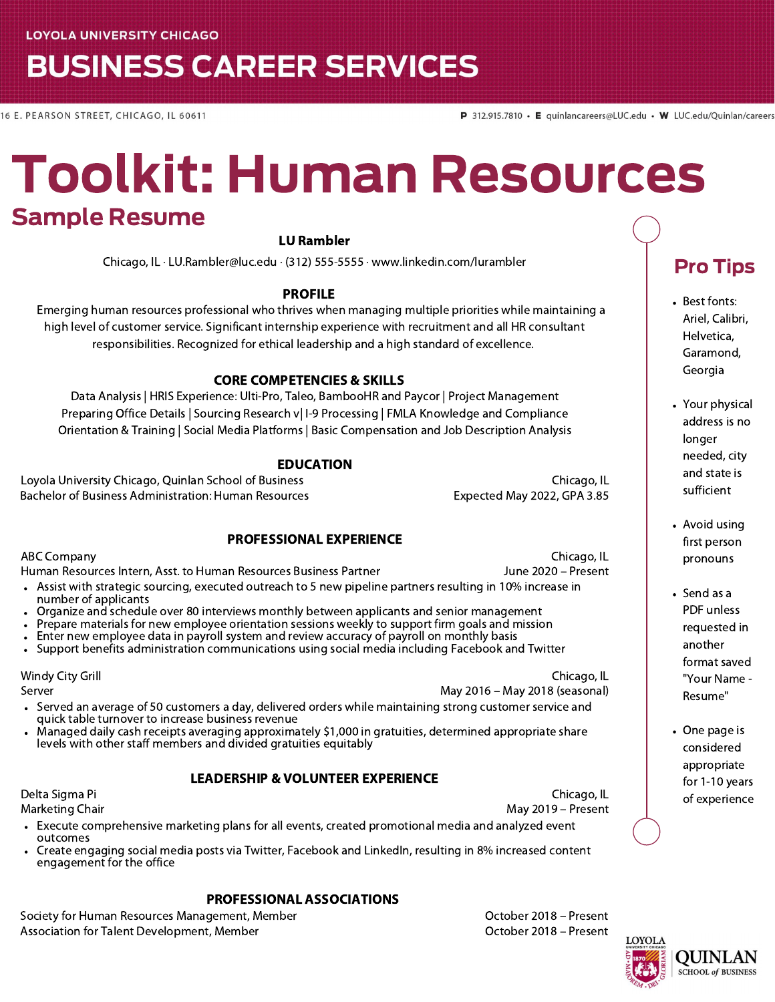## **BUSINESS CAREER SERVICES**

16 E. PEARSON STREET, CHICAGO, IL 60611

# Toolkit: Human Resources Sample Resume

#### LU Rambler

Chicago, IL · LU.Rambler@luc.edu · (312) 555-5555 · www.linkedin.com/lurambler

#### PROFILE

Emerging human resources professional who thrives when managing multiple priorities while maintaining a high level of customer service. Significant internship experience with recruitment and all HR consultant responsibilities. Recognized for ethical leadership and a high standard of excellence.

#### CORE COMPETENCIES & SKILLS

Data Analysis | HRIS Experience: Ulti-Pro, Taleo, BambooHR and Paycor | Project Management Preparing Office Details | Sourcing Research v| I-9 Processing | FMLA Knowledge and Compliance Orientation & Training | Social Media Platforms | Basic Compensation and Job Description Analysis

#### EDUCATION

Loyola University Chicago, Quinlan School of Business Chicago, IL Bachelor of Business Administration: Human Resources Francisco Expected May 2022, GPA 3.85

Chicago, IL

#### PROFESSIONAL EXPERIENCE

ABC Company Human Resources Intern, Asst. to Human Resources Business Partner

June 2020 – Present Assist with strategic sourcing, executed outreach to 5 new pipeline partners resulting in 10% increase in

- number of applicants
- Organize and schedule over 80 interviews monthly between applicants and senior management
- Prepare materials for new employee orientation sessions weekly to support firm goals and mission
- Enter new employee data in payroll system and review accuracy of payroll on monthly basis
- Support benefits administration communications using social media including Facebook and Twitter

Windy City Grill

Server

Chicago, IL May 2016 – May 2018 (seasonal)

- Served an average of 50 customers a day, delivered orders while maintaining strong customer service and quick table turnover to increase business revenue
- Managed daily cash receipts averaging approximately \$1,000 in gratuities, determined appropriate share levels with other staff members and divided gratuities equitably

#### LEADERSHIP & VOLUNTEER EXPERIENCE

Delta Sigma Pi Marketing Chair

Chicago, IL May 2019 – Present

### Pro Tips

- Best fonts: Ariel, Calibri, Helvetica, Garamond, Georgia
- Your physical address is no longer needed, city and state is sufficient
- Avoid using first person pronouns
- Send as a PDF unless requested in another format saved "Your Name - Resume"
- One page is considered appropriate for 1-10 years of experience

Execute comprehensive marketing plans for all events, created promotional media and analyzed event outcomes

Create engaging social media posts via Twitter, Facebook and LinkedIn, resulting in 8% increased content engagement for the office

#### PROFESSIONAL ASSOCIATIONS

Society for Human Resources Management, Member **Communist Contract Contract Contract Contract** Control October 2018 – Present Association for Talent Development, Member **Community Community Community Community** Cortober 2018 – Present